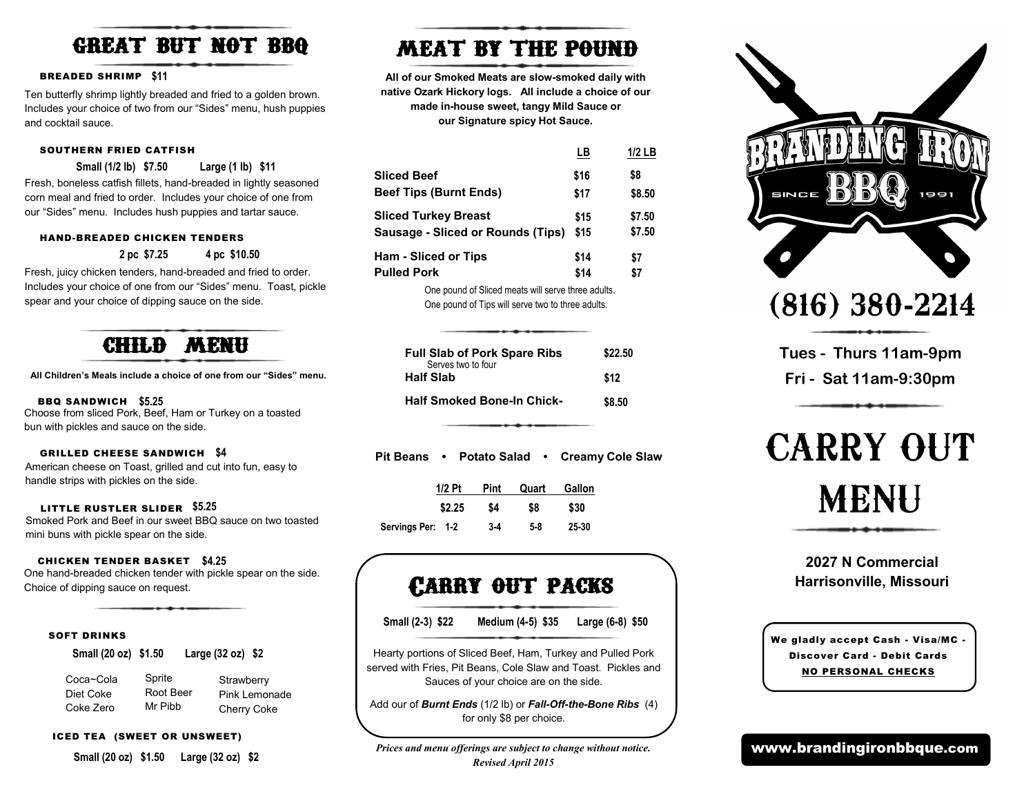# great but not bbq

### BREADED SHRIMP **\$11**

Ten butterfly shrimp lightly breaded and fried to a golden brown. Includes your choice of two from our "Sides" menu, hush puppies and cocktail sauce.

### SOUTHERN FRIED CATFISH

**Small (1/2 lb) \$7.50 Large (1 lb) \$11**

Fresh, boneless catfish fillets, hand-breaded in lightly seasoned corn meal and fried to order. Includes your choice of one from our "Sides" menu. Includes hush puppies and tartar sauce.

### HAND-BREADED CHICKEN TENDERS

```
2 pc $7.25 4 pc $10.50
```
Fresh, juicy chicken tenders, hand-breaded and fried to order. Includes your choice of one from our "Sides" menu. Toast, pickle spear and your choice of dipping sauce on the side.



**All Children's Meals include a choice of one from our "Sides" menu.**

### BBQ SANDWICH **\$5.25**

Choose from sliced Pork, Beef, Ham or Turkey on a toasted bun with pickles and sauce on the side.

### GRILLED CHEESE SANDWICH **\$4**

American cheese on Toast, grilled and cut into fun, easy to handle strips with pickles on the side.

### LITTLE RUSTLER SLIDER **\$5.25**

Smoked Pork and Beef in our sweet BBQ sauce on two toasted mini buns with pickle spear on the side.

### CHICKEN TENDER BASKET **\$4.25**

One hand-breaded chicken tender with pickle spear on the side. Choice of dipping sauce on request.

### SOFT DRINKS

**Small (20 oz) \$1.50 Large (32 oz) \$2**

| Coca~Cola |  |
|-----------|--|
| Diet Coke |  |
| Coke Zero |  |

Sprite Root Beer Mr Pibb **Strawberry** Pink Lemonade Cherry Coke

### ICED TEA (SWEET OR UNSWEET)

**Small (20 oz) \$1.50 Large (32 oz) \$2**

# MEAT BY THE POUND

**All of our Smoked Meats are slow-smoked daily with native Ozark Hickory logs. All include a choice of our made in-house sweet, tangy Mild Sauce or our Signature spicy Hot Sauce.** 

|                                   | LΒ           | $1/2$ LB |
|-----------------------------------|--------------|----------|
| <b>Sliced Beef</b>                | \$16         | \$8      |
| <b>Beef Tips (Burnt Ends)</b>     | \$17         | \$8.50   |
| <b>Sliced Turkey Breast</b>       | \$15<br>\$15 | \$7.50   |
| Sausage - Sliced or Rounds (Tips) |              | \$7.50   |
| Ham - Sliced or Tips              | \$14         | \$7      |
| <b>Pulled Pork</b>                | \$14         | \$7      |
|                                   |              |          |

One pound of Sliced meats will serve three adults. One pound of Tips will serve two to three adults.

| <b>Full Slab of Pork Spare Ribs</b><br>Serves two to four | \$22.50 |
|-----------------------------------------------------------|---------|
| <b>Half Slab</b>                                          | \$12    |
| <b>Half Smoked Bone-In Chick-</b>                         | \$8.50  |

**Pit Beans • Potato Salad • Creamy Cole Slaw**

|                  | $1/2$ Pt | Pint  | Quart | Gallon |
|------------------|----------|-------|-------|--------|
|                  | \$2.25   | S4    | \$8   | \$30   |
| Servings Per: 12 |          | $3-4$ | 58    | 25 30  |

### Carry out packs

**Small (2-3) \$22 Medium (4-5) \$35 Large (6-8) \$50**

Hearty portions of Sliced Beef, Ham, Turkey and Pulled Pork served with Fries, Pit Beans, Cole Slaw and Toast. Pickles and Sauces of your choice are on the side.

Add our of *Burnt Ends* (1/2 lb) or *Fall-Off-the-Bone Ribs* (4) for only \$8 per choice.

*Prices and menu offerings are subject to change without notice. Revised April 2015*



(816) 380-2214

**Tues - Thurs 11am-9pm Fri - Sat 11am-9:30pm** 

# CARRY OUT MENU

### **2027 N Commercial Harrisonville, Missouri**

We gladly accept Cash - Visa/MC - Discover Card - Debit Cards NO PERSONAL CHECKS

www.brandingironbbque.com